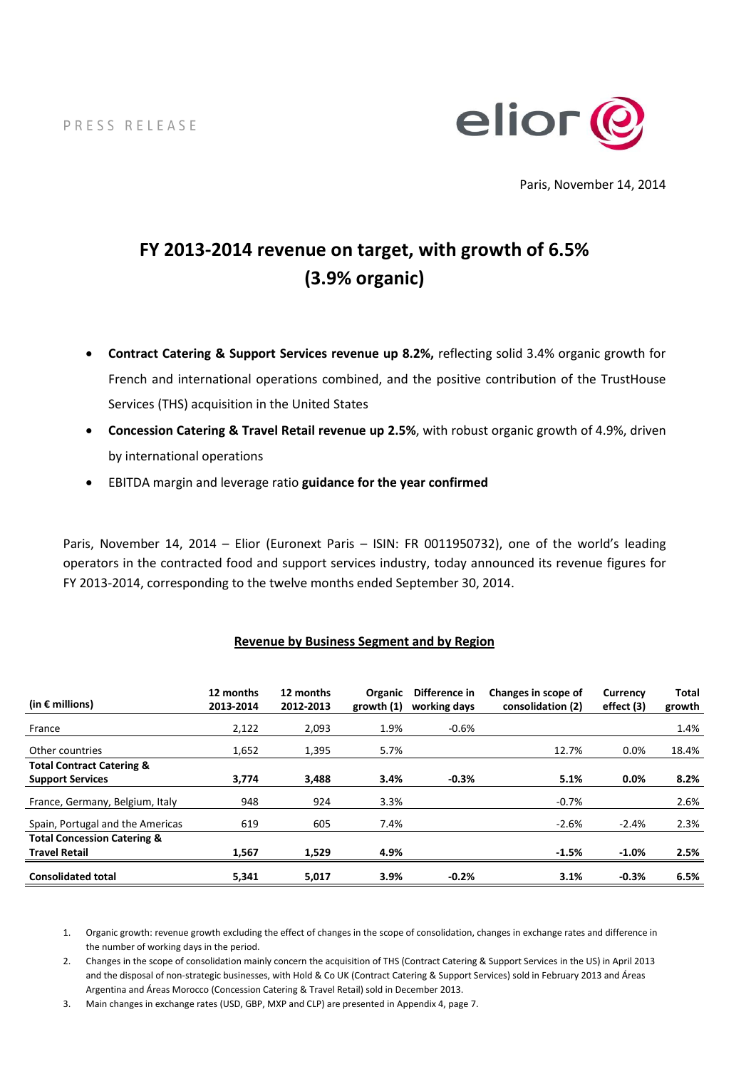PRESS RELEASE



Paris, November 14, 2014

# **FY 2013-2014 revenue on target, with growth of 6.5% (3.9% organic)**

- **Contract Catering & Support Services revenue up 8.2%,** reflecting solid 3.4% organic growth for French and international operations combined, and the positive contribution of the TrustHouse Services (THS) acquisition in the United States
- **Concession Catering & Travel Retail revenue up 2.5%**, with robust organic growth of 4.9%, driven by international operations
- EBITDA margin and leverage ratio **guidance for the year confirmed**

Paris, November 14, 2014 – Elior (Euronext Paris – ISIN: FR 0011950732), one of the world's leading operators in the contracted food and support services industry, today announced its revenue figures for FY 2013-2014, corresponding to the twelve months ended September 30, 2014.

| (in $\epsilon$ millions)               | 12 months<br>2013-2014 | 12 months<br>2012-2013 | <b>Organic</b><br>growth $(1)$ | Difference in<br>working days | Changes in scope of<br>consolidation (2) | Currency<br>effect (3) | <b>Total</b><br>growth |
|----------------------------------------|------------------------|------------------------|--------------------------------|-------------------------------|------------------------------------------|------------------------|------------------------|
| France                                 | 2,122                  | 2,093                  | 1.9%                           | $-0.6%$                       |                                          |                        | 1.4%                   |
| Other countries                        | 1,652                  | 1,395                  | 5.7%                           |                               | 12.7%                                    | $0.0\%$                | 18.4%                  |
| <b>Total Contract Catering &amp;</b>   |                        |                        |                                |                               |                                          |                        |                        |
| <b>Support Services</b>                | 3,774                  | 3,488                  | 3.4%                           | $-0.3%$                       | 5.1%                                     | 0.0%                   | 8.2%                   |
| France, Germany, Belgium, Italy        | 948                    | 924                    | 3.3%                           |                               | $-0.7%$                                  |                        | 2.6%                   |
| Spain, Portugal and the Americas       | 619                    | 605                    | 7.4%                           |                               | $-2.6%$                                  | $-2.4%$                | 2.3%                   |
| <b>Total Concession Catering &amp;</b> |                        |                        |                                |                               |                                          |                        |                        |
| <b>Travel Retail</b>                   | 1,567                  | 1,529                  | 4.9%                           |                               | $-1.5%$                                  | $-1.0%$                | 2.5%                   |
| <b>Consolidated total</b>              | 5,341                  | 5,017                  | 3.9%                           | $-0.2%$                       | 3.1%                                     | $-0.3%$                | 6.5%                   |

#### **Revenue by Business Segment and by Region**

1. Organic growth: revenue growth excluding the effect of changes in the scope of consolidation, changes in exchange rates and difference in the number of working days in the period.

2. Changes in the scope of consolidation mainly concern the acquisition of THS (Contract Catering & Support Services in the US) in April 2013 and the disposal of non-strategic businesses, with Hold & Co UK (Contract Catering & Support Services) sold in February 2013 and Áreas Argentina and Áreas Morocco (Concession Catering & Travel Retail) sold in December 2013.

3. Main changes in exchange rates (USD, GBP, MXP and CLP) are presented in Appendix 4, page 7.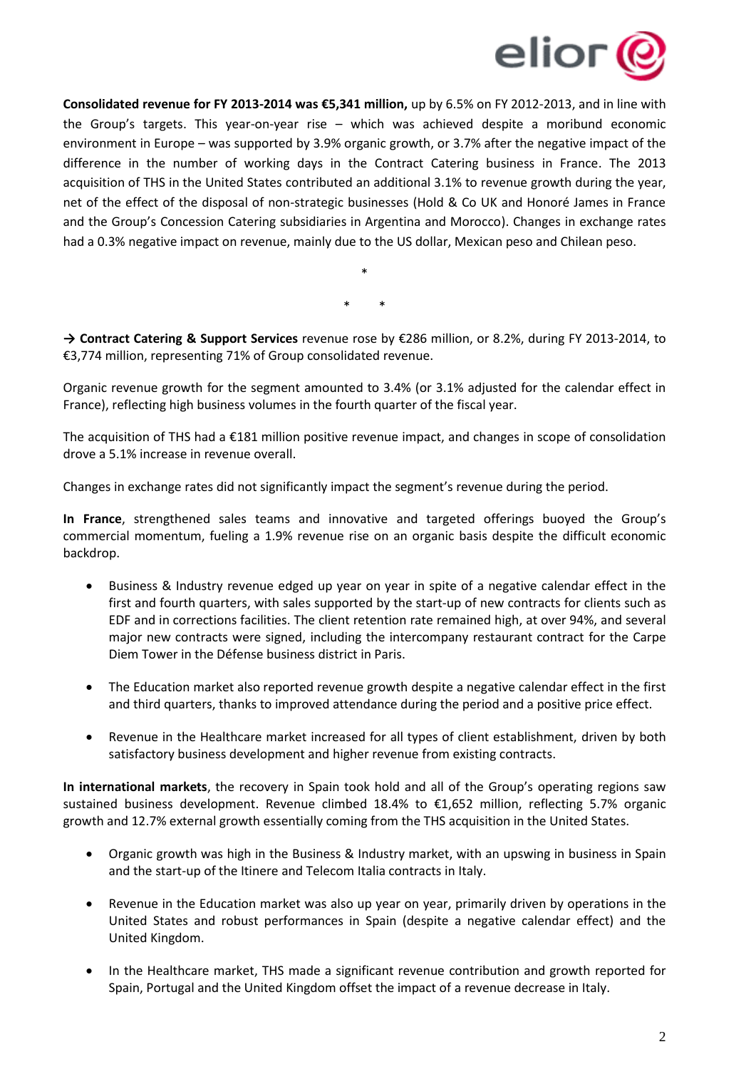

**Consolidated revenue for FY 2013-2014 was €5,341 million,** up by 6.5% on FY 2012-2013, and in line with the Group's targets. This year-on-year rise – which was achieved despite a moribund economic environment in Europe – was supported by 3.9% organic growth, or 3.7% after the negative impact of the difference in the number of working days in the Contract Catering business in France. The 2013 acquisition of THS in the United States contributed an additional 3.1% to revenue growth during the year, net of the effect of the disposal of non-strategic businesses (Hold & Co UK and Honoré James in France and the Group's Concession Catering subsidiaries in Argentina and Morocco). Changes in exchange rates had a 0.3% negative impact on revenue, mainly due to the US dollar, Mexican peso and Chilean peso.

> \* \* \*

**→ Contract Catering & Support Services** revenue rose by €286 million, or 8.2%, during FY 2013-2014, to €3,774 million, representing 71% of Group consolidated revenue.

Organic revenue growth for the segment amounted to 3.4% (or 3.1% adjusted for the calendar effect in France), reflecting high business volumes in the fourth quarter of the fiscal year.

The acquisition of THS had a €181 million positive revenue impact, and changes in scope of consolidation drove a 5.1% increase in revenue overall.

Changes in exchange rates did not significantly impact the segment's revenue during the period.

**In France**, strengthened sales teams and innovative and targeted offerings buoyed the Group's commercial momentum, fueling a 1.9% revenue rise on an organic basis despite the difficult economic backdrop.

- Business & Industry revenue edged up year on year in spite of a negative calendar effect in the first and fourth quarters, with sales supported by the start-up of new contracts for clients such as EDF and in corrections facilities. The client retention rate remained high, at over 94%, and several major new contracts were signed, including the intercompany restaurant contract for the Carpe Diem Tower in the Défense business district in Paris.
- The Education market also reported revenue growth despite a negative calendar effect in the first and third quarters, thanks to improved attendance during the period and a positive price effect.
- Revenue in the Healthcare market increased for all types of client establishment, driven by both satisfactory business development and higher revenue from existing contracts.

**In international markets**, the recovery in Spain took hold and all of the Group's operating regions saw sustained business development. Revenue climbed 18.4% to €1,652 million, reflecting 5.7% organic growth and 12.7% external growth essentially coming from the THS acquisition in the United States.

- Organic growth was high in the Business & Industry market, with an upswing in business in Spain and the start-up of the Itinere and Telecom Italia contracts in Italy.
- Revenue in the Education market was also up year on year, primarily driven by operations in the United States and robust performances in Spain (despite a negative calendar effect) and the United Kingdom.
- In the Healthcare market, THS made a significant revenue contribution and growth reported for Spain, Portugal and the United Kingdom offset the impact of a revenue decrease in Italy.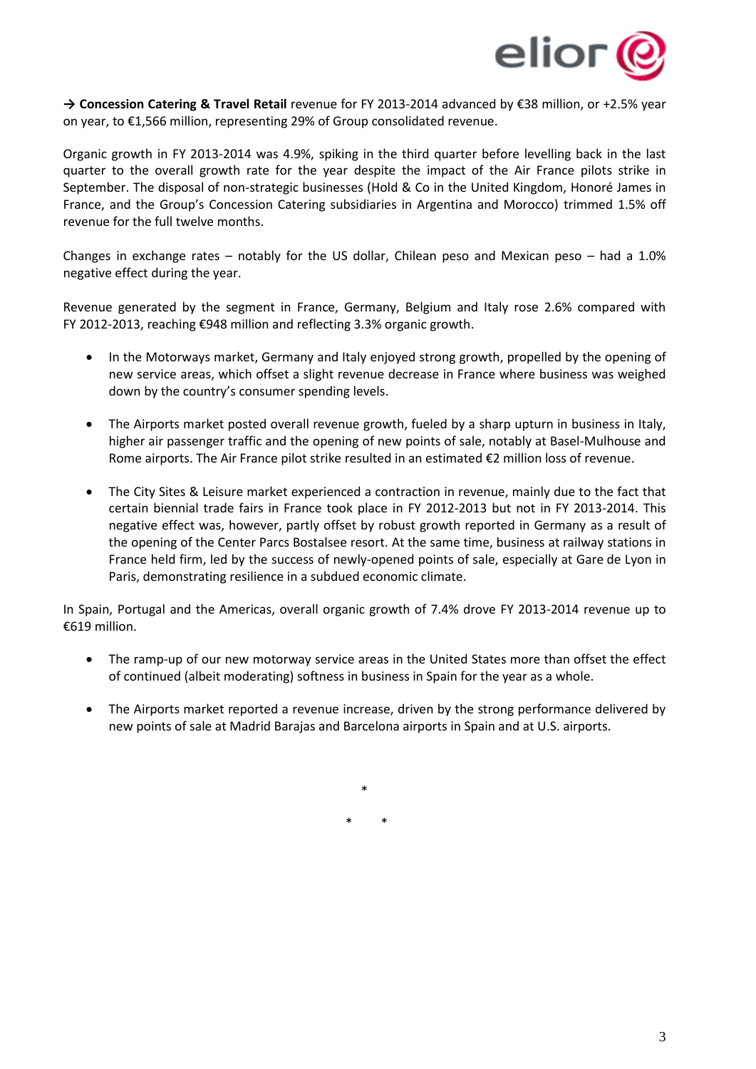

**→ Concession Catering & Travel Retail** revenue for FY 2013-2014 advanced by €38 million, or +2.5% year on year, to €1,566 million, representing 29% of Group consolidated revenue.

Organic growth in FY 2013-2014 was 4.9%, spiking in the third quarter before levelling back in the last quarter to the overall growth rate for the year despite the impact of the Air France pilots strike in September. The disposal of non-strategic businesses (Hold & Co in the United Kingdom, Honoré James in France, and the Group's Concession Catering subsidiaries in Argentina and Morocco) trimmed 1.5% off revenue for the full twelve months.

Changes in exchange rates – notably for the US dollar, Chilean peso and Mexican peso – had a 1.0% negative effect during the year.

Revenue generated by the segment in France, Germany, Belgium and Italy rose 2.6% compared with FY 2012-2013, reaching €948 million and reflecting 3.3% organic growth.

- In the Motorways market, Germany and Italy enjoyed strong growth, propelled by the opening of new service areas, which offset a slight revenue decrease in France where business was weighed down by the country's consumer spending levels.
- The Airports market posted overall revenue growth, fueled by a sharp upturn in business in Italy, higher air passenger traffic and the opening of new points of sale, notably at Basel-Mulhouse and Rome airports. The Air France pilot strike resulted in an estimated €2 million loss of revenue.
- The City Sites & Leisure market experienced a contraction in revenue, mainly due to the fact that certain biennial trade fairs in France took place in FY 2012-2013 but not in FY 2013-2014. This negative effect was, however, partly offset by robust growth reported in Germany as a result of the opening of the Center Parcs Bostalsee resort. At the same time, business at railway stations in France held firm, led by the success of newly-opened points of sale, especially at Gare de Lyon in Paris, demonstrating resilience in a subdued economic climate.

In Spain, Portugal and the Americas, overall organic growth of 7.4% drove FY 2013-2014 revenue up to €619 million.

- The ramp-up of our new motorway service areas in the United States more than offset the effect of continued (albeit moderating) softness in business in Spain for the year as a whole.
- The Airports market reported a revenue increase, driven by the strong performance delivered by new points of sale at Madrid Barajas and Barcelona airports in Spain and at U.S. airports.

\* \* \*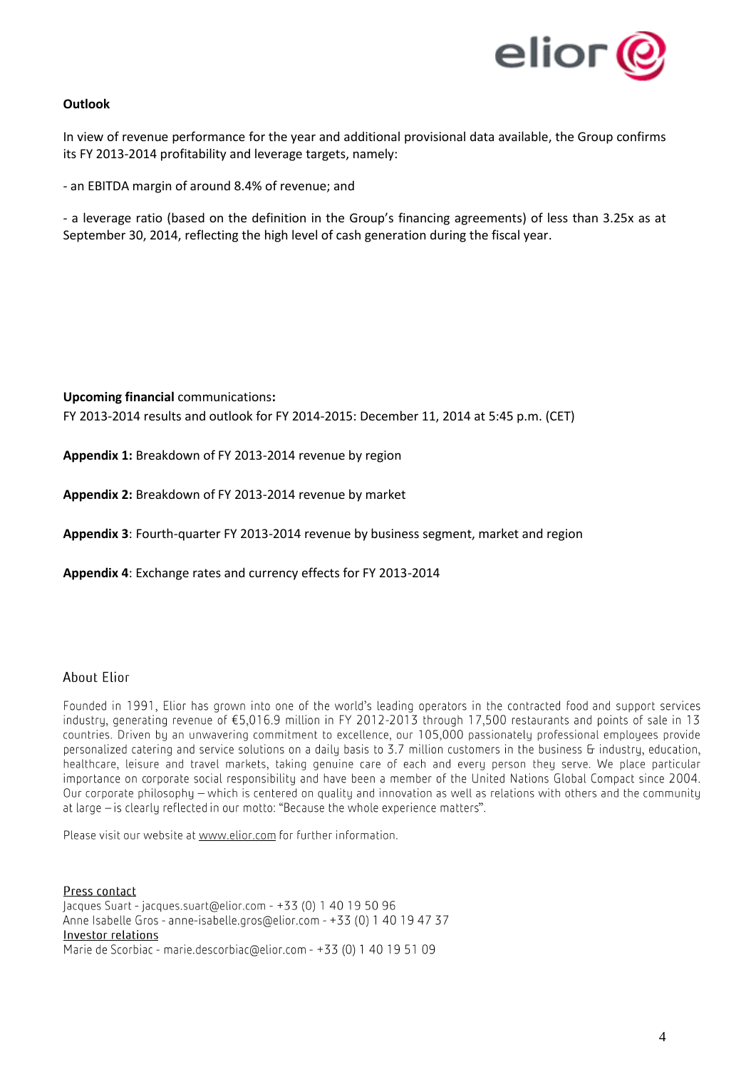

### **Outlook**

In view of revenue performance for the year and additional provisional data available, the Group confirms its FY 2013-2014 profitability and leverage targets, namely:

- an EBITDA margin of around 8.4% of revenue; and

- a leverage ratio (based on the definition in the Group's financing agreements) of less than 3.25x as at September 30, 2014, reflecting the high level of cash generation during the fiscal year.

**Upcoming financial** communications**:** FY 2013-2014 results and outlook for FY 2014-2015: December 11, 2014 at 5:45 p.m. (CET)

**Appendix 1:** Breakdown of FY 2013-2014 revenue by region

**Appendix 2:** Breakdown of FY 2013-2014 revenue by market

**Appendix 3**: Fourth-quarter FY 2013-2014 revenue by business segment, market and region

**Appendix 4**: Exchange rates and currency effects for FY 2013-2014

## About Elior

Founded in 1991. Elior has grown into one of the world's leading operators in the contracted food and support services industry, generating revenue of €5,016.9 million in FY 2012-2013 through 17,500 restaurants and points of sale in 13 countries. Driven by an unwavering commitment to excellence, our 105,000 passionately professional employees provide personalized catering and service solutions on a daily basis to 3.7 million customers in the business & industry, education, healthcare, leisure and travel markets, taking genuine care of each and every person they serve. We place particular importance on corporate social responsibility and have been a member of the United Nations Global Compact since 2004. Our corporate philosophy – which is centered on quality and innovation as well as relations with others and the community at large – is clearly reflected in our motto: "Because the whole experience matters".

Please visit our website at www.elior.com for further information.

Press contact Jacques Suart - jacques.suart@elior.com - +33 (0) 1 40 19 50 96 Anne Isabelle Gros - anne-isabelle.gros@elior.com - +33 (0) 1 40 19 47 37 Investor relations Marie de Scorbiac - marie.descorbiac@elior.com - +33 (0) 1 40 19 51 09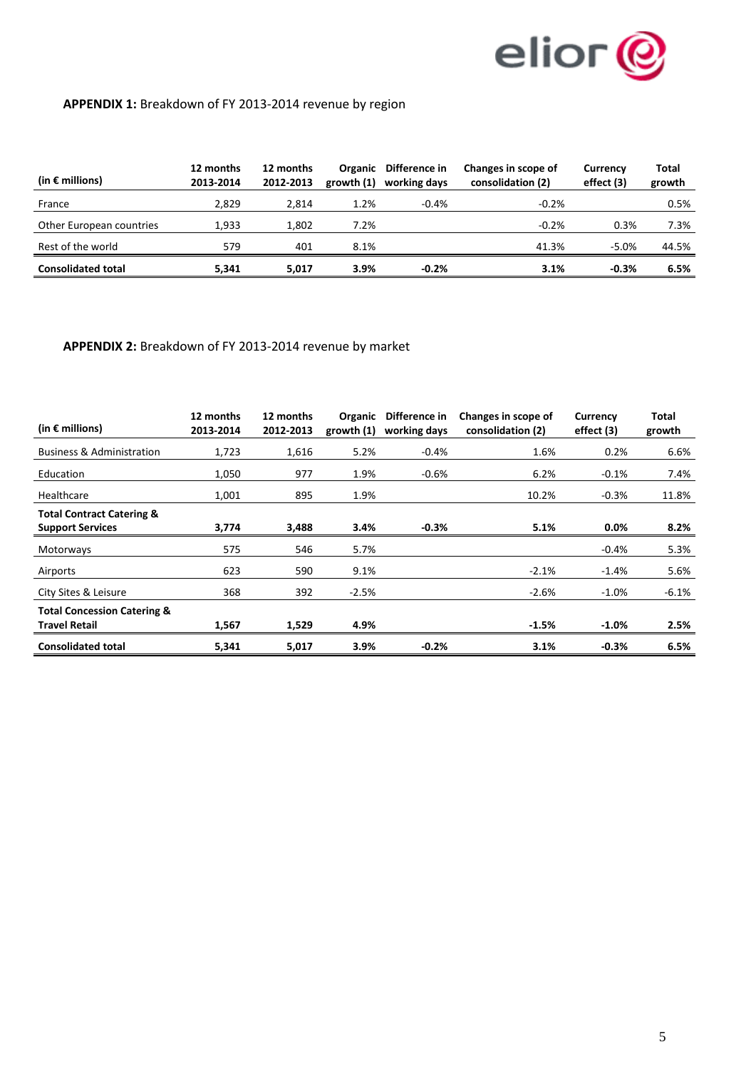

# **APPENDIX 1:** Breakdown of FY 2013-2014 revenue by region

| (in $\epsilon$ millions)  | 12 months<br>2013-2014 | 12 months<br>2012-2013 | <b>Organic</b><br>growth $(1)$ | Difference in<br>working days | Changes in scope of<br>consolidation (2) | <b>Currency</b><br>effect (3) | Total<br>growth |
|---------------------------|------------------------|------------------------|--------------------------------|-------------------------------|------------------------------------------|-------------------------------|-----------------|
| France                    | 2.829                  | 2.814                  | 1.2%                           | $-0.4%$                       | $-0.2%$                                  |                               | 0.5%            |
| Other European countries  | 1.933                  | 1.802                  | 7.2%                           |                               | $-0.2%$                                  | 0.3%                          | 7.3%            |
| Rest of the world         | 579                    | 401                    | 8.1%                           |                               | 41.3%                                    | $-5.0%$                       | 44.5%           |
| <b>Consolidated total</b> | 5.341                  | 5.017                  | 3.9%                           | $-0.2%$                       | 3.1%                                     | $-0.3%$                       | 6.5%            |

**APPENDIX 2:** Breakdown of FY 2013-2014 revenue by market

| (in $\epsilon$ millions)                                        | 12 months<br>2013-2014 | 12 months<br>2012-2013 | Organic<br>growth $(1)$ | Difference in<br>working days | Changes in scope of<br>consolidation (2) | Currency<br>effect (3) | Total<br>growth |
|-----------------------------------------------------------------|------------------------|------------------------|-------------------------|-------------------------------|------------------------------------------|------------------------|-----------------|
| <b>Business &amp; Administration</b>                            | 1,723                  | 1,616                  | 5.2%                    | $-0.4%$                       | 1.6%                                     | 0.2%                   | 6.6%            |
| Education                                                       | 1,050                  | 977                    | 1.9%                    | $-0.6%$                       | 6.2%                                     | $-0.1%$                | 7.4%            |
| Healthcare                                                      | 1,001                  | 895                    | 1.9%                    |                               | 10.2%                                    | $-0.3%$                | 11.8%           |
| <b>Total Contract Catering &amp;</b><br><b>Support Services</b> | 3,774                  | 3,488                  | 3.4%                    | $-0.3%$                       | 5.1%                                     | 0.0%                   | 8.2%            |
| Motorways                                                       | 575                    | 546                    | 5.7%                    |                               |                                          | $-0.4%$                | 5.3%            |
| Airports                                                        | 623                    | 590                    | 9.1%                    |                               | $-2.1%$                                  | $-1.4%$                | 5.6%            |
| City Sites & Leisure                                            | 368                    | 392                    | $-2.5%$                 |                               | $-2.6%$                                  | $-1.0\%$               | $-6.1%$         |
| <b>Total Concession Catering &amp;</b><br><b>Travel Retail</b>  | 1,567                  | 1,529                  | 4.9%                    |                               | $-1.5%$                                  | $-1.0%$                | 2.5%            |
| <b>Consolidated total</b>                                       | 5,341                  | 5,017                  | 3.9%                    | $-0.2%$                       | 3.1%                                     | $-0.3%$                | 6.5%            |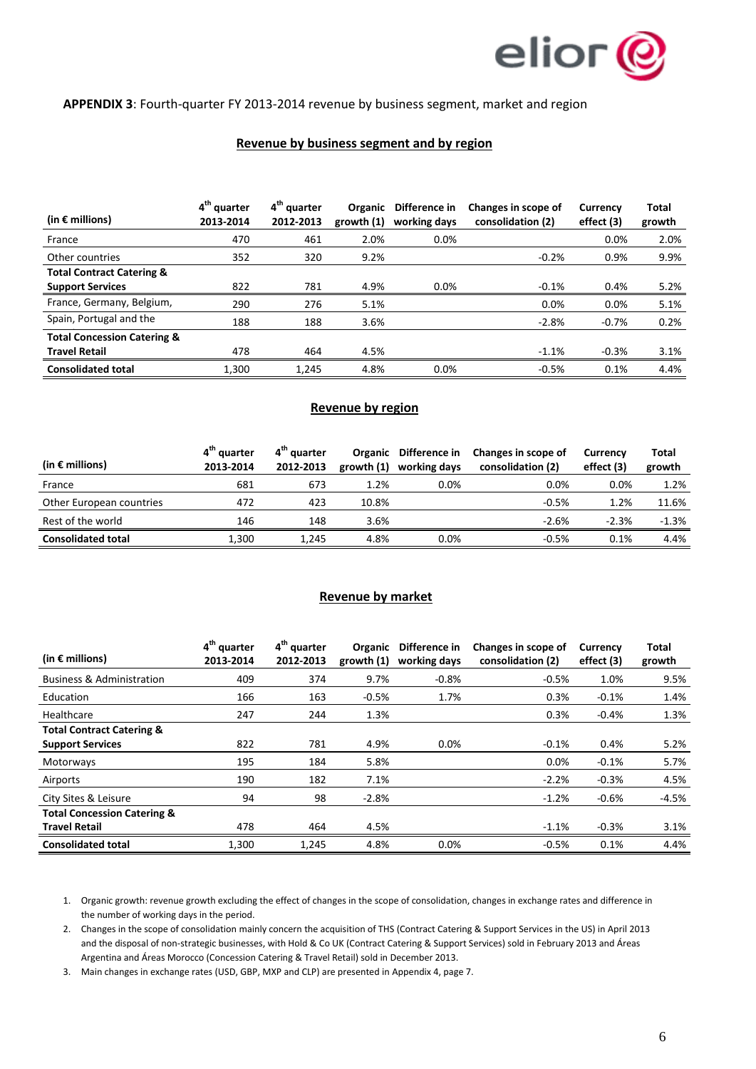

#### **APPENDIX 3**: Fourth-quarter FY 2013-2014 revenue by business segment, market and region

#### **Revenue by business segment and by region**

| (in $\epsilon$ millions)               | 4 <sup>th</sup> quarter<br>2013-2014 | 4 <sup>th</sup> quarter<br>2012-2013 | Organic<br>growth $(1)$ | Difference in<br>working days | Changes in scope of<br>consolidation (2) | <b>Currency</b><br>effect (3) | Total<br>growth |
|----------------------------------------|--------------------------------------|--------------------------------------|-------------------------|-------------------------------|------------------------------------------|-------------------------------|-----------------|
| France                                 | 470                                  | 461                                  | 2.0%                    | $0.0\%$                       |                                          | 0.0%                          | 2.0%            |
| Other countries                        | 352                                  | 320                                  | 9.2%                    |                               | $-0.2%$                                  | 0.9%                          | 9.9%            |
| <b>Total Contract Catering &amp;</b>   |                                      |                                      |                         |                               |                                          |                               |                 |
| <b>Support Services</b>                | 822                                  | 781                                  | 4.9%                    | 0.0%                          | $-0.1%$                                  | 0.4%                          | 5.2%            |
| France, Germany, Belgium,              | 290                                  | 276                                  | 5.1%                    |                               | 0.0%                                     | 0.0%                          | 5.1%            |
| Spain, Portugal and the                | 188                                  | 188                                  | 3.6%                    |                               | $-2.8%$                                  | $-0.7%$                       | 0.2%            |
| <b>Total Concession Catering &amp;</b> |                                      |                                      |                         |                               |                                          |                               |                 |
| <b>Travel Retail</b>                   | 478                                  | 464                                  | 4.5%                    |                               | $-1.1%$                                  | $-0.3%$                       | 3.1%            |
| <b>Consolidated total</b>              | 1.300                                | 1.245                                | 4.8%                    | 0.0%                          | $-0.5%$                                  | 0.1%                          | 4.4%            |

#### **Revenue by region**

| (in $\epsilon$ millions)  | 4 <sup>th</sup> quarter<br>2013-2014 | 4 <sup>th</sup> quarter<br>2012-2013 | growth (1) | Organic Difference in<br>working days | Changes in scope of<br>consolidation (2) | <b>Currency</b><br>effect (3) | Total<br>growth |
|---------------------------|--------------------------------------|--------------------------------------|------------|---------------------------------------|------------------------------------------|-------------------------------|-----------------|
| France                    | 681                                  | 673                                  | 1.2%       | 0.0%                                  | 0.0%                                     | $0.0\%$                       | 1.2%            |
| Other European countries  | 472                                  | 423                                  | 10.8%      |                                       | $-0.5%$                                  | 1.2%                          | 11.6%           |
| Rest of the world         | 146                                  | 148                                  | 3.6%       |                                       | $-2.6%$                                  | $-2.3%$                       | $-1.3%$         |
| <b>Consolidated total</b> | 1.300                                | 1.245                                | 4.8%       | 0.0%                                  | $-0.5%$                                  | 0.1%                          | 4.4%            |

#### **Revenue by market**

| (in $\epsilon$ millions)               | 4 <sup>th</sup> quarter<br>2013-2014 | 4 <sup>th</sup> quarter<br>2012-2013 | growth(1) | Organic Difference in<br>working days | Changes in scope of<br>consolidation (2) | Currency<br>effect (3) | <b>Total</b><br>growth |
|----------------------------------------|--------------------------------------|--------------------------------------|-----------|---------------------------------------|------------------------------------------|------------------------|------------------------|
| <b>Business &amp; Administration</b>   | 409                                  | 374                                  | 9.7%      | $-0.8%$                               | $-0.5%$                                  | 1.0%                   | 9.5%                   |
| Education                              | 166                                  | 163                                  | $-0.5%$   | 1.7%                                  | 0.3%                                     | $-0.1%$                | 1.4%                   |
| Healthcare                             | 247                                  | 244                                  | 1.3%      |                                       | 0.3%                                     | $-0.4%$                | 1.3%                   |
| <b>Total Contract Catering &amp;</b>   |                                      |                                      |           |                                       |                                          |                        |                        |
| <b>Support Services</b>                | 822                                  | 781                                  | 4.9%      | $0.0\%$                               | $-0.1%$                                  | 0.4%                   | 5.2%                   |
| Motorways                              | 195                                  | 184                                  | 5.8%      |                                       | 0.0%                                     | $-0.1%$                | 5.7%                   |
| Airports                               | 190                                  | 182                                  | 7.1%      |                                       | $-2.2%$                                  | $-0.3%$                | 4.5%                   |
| City Sites & Leisure                   | 94                                   | 98                                   | $-2.8%$   |                                       | $-1.2%$                                  | $-0.6%$                | $-4.5%$                |
| <b>Total Concession Catering &amp;</b> |                                      |                                      |           |                                       |                                          |                        |                        |
| <b>Travel Retail</b>                   | 478                                  | 464                                  | 4.5%      |                                       | $-1.1%$                                  | $-0.3%$                | 3.1%                   |
| <b>Consolidated total</b>              | 1,300                                | 1.245                                | 4.8%      | 0.0%                                  | $-0.5%$                                  | 0.1%                   | 4.4%                   |

1. Organic growth: revenue growth excluding the effect of changes in the scope of consolidation, changes in exchange rates and difference in the number of working days in the period.

2. Changes in the scope of consolidation mainly concern the acquisition of THS (Contract Catering & Support Services in the US) in April 2013 and the disposal of non-strategic businesses, with Hold & Co UK (Contract Catering & Support Services) sold in February 2013 and Áreas Argentina and Áreas Morocco (Concession Catering & Travel Retail) sold in December 2013.

3. Main changes in exchange rates (USD, GBP, MXP and CLP) are presented in Appendix 4, page 7.